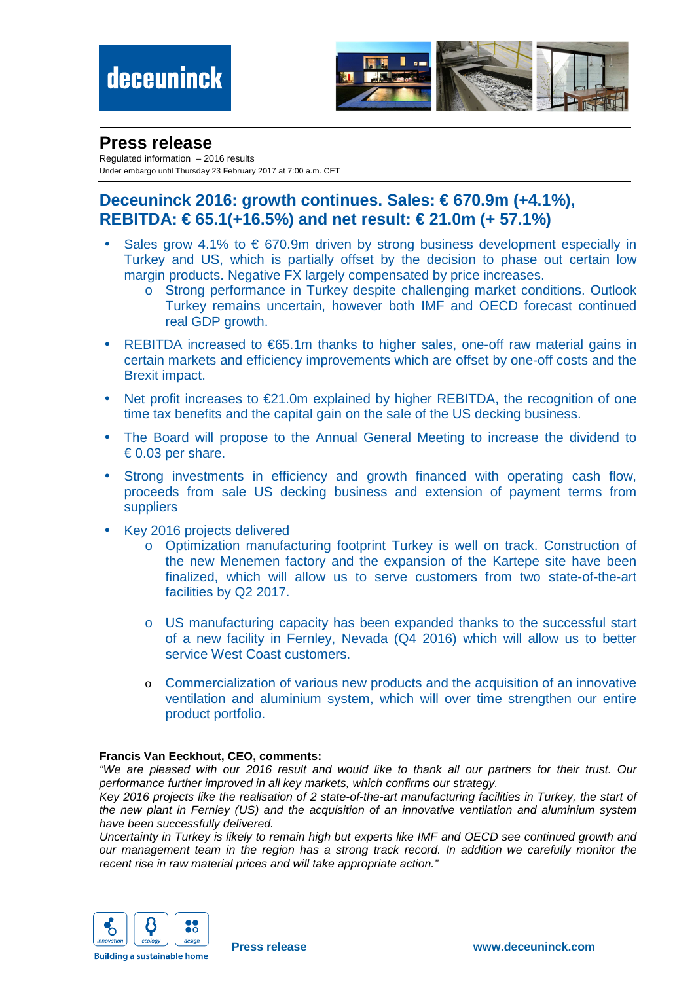

## **Press release**

Regulated information – 2016 results Under embargo until Thursday 23 February 2017 at 7:00 a.m. CET

## **Deceuninck 2016: growth continues. Sales: € 670.9m (+4.1%), REBITDA: € 65.1(+16.5%) and net result: € 21.0m (+57.1%)**

- Sales grow 4.1% to  $\epsilon$  670.9m driven by strong business development especially in Turkey and US, which is partially offset by the decision to phase out certain low margin products. Negative FX largely compensated by price increases.
	- o Strong performance in Turkey despite challenging market conditions. Outlook Turkey remains uncertain, however both IMF and OECD forecast continued real GDP growth.
- REBITDA increased to €65.1m thanks to higher sales, one-off raw material gains in certain markets and efficiency improvements which are offset by one-off costs and the Brexit impact.
- Net profit increases to €21.0m explained by higher REBITDA, the recognition of one time tax benefits and the capital gain on the sale of the US decking business.
- The Board will propose to the Annual General Meeting to increase the dividend to  $\epsilon$  0.03 per share.
- Strong investments in efficiency and growth financed with operating cash flow, proceeds from sale US decking business and extension of payment terms from suppliers
- Key 2016 projects delivered
	- o Optimization manufacturing footprint Turkey is well on track. Construction of the new Menemen factory and the expansion of the Kartepe site have been finalized, which will allow us to serve customers from two state-of-the-art facilities by Q2 2017.
	- o US manufacturing capacity has been expanded thanks to the successful start of a new facility in Fernley, Nevada (Q4 2016) which will allow us to better service West Coast customers.
	- o Commercialization of various new products and the acquisition of an innovative ventilation and aluminium system, which will over time strengthen our entire product portfolio.

#### **Francis Van Eeckhout, CEO, comments:**

"We are pleased with our 2016 result and would like to thank all our partners for their trust. Our performance further improved in all key markets, which confirms our strategy.

Key 2016 projects like the realisation of 2 state-of-the-art manufacturing facilities in Turkey, the start of the new plant in Fernley (US) and the acquisition of an innovative ventilation and aluminium system have been successfully delivered.

Uncertainty in Turkey is likely to remain high but experts like IMF and OECD see continued growth and our management team in the region has a strong track record. In addition we carefully monitor the recent rise in raw material prices and will take appropriate action."

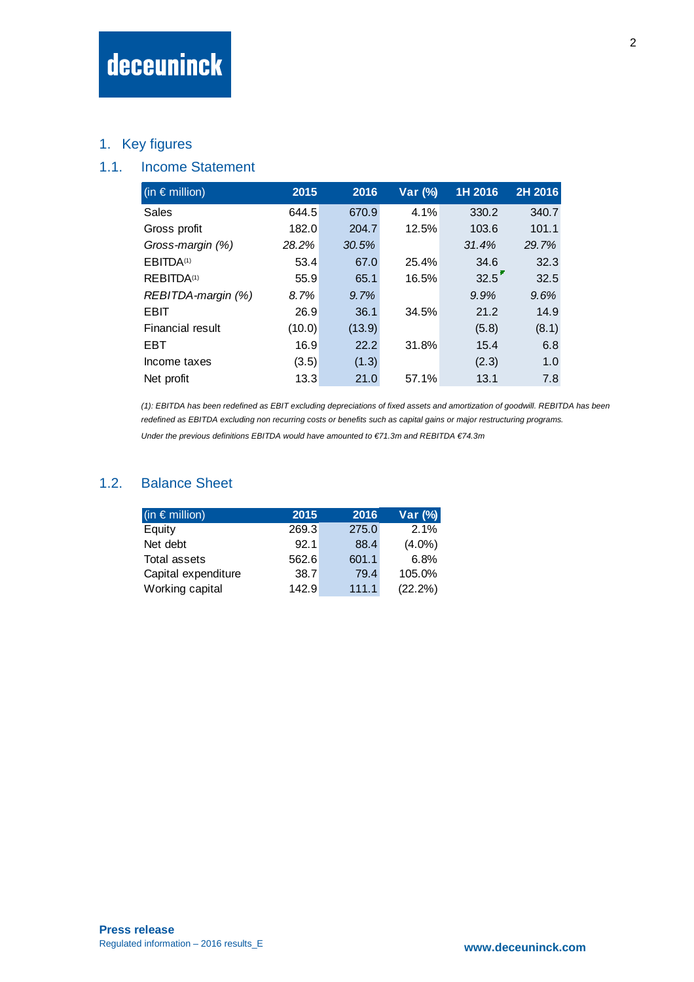## 1. Key figures

## 1.1. Income Statement

| (in $\epsilon$ million) | 2015   | 2016   | Var (%) | 1H 2016 | 2H 2016 |
|-------------------------|--------|--------|---------|---------|---------|
| Sales                   | 644.5  | 670.9  | 4.1%    | 330.2   | 340.7   |
| Gross profit            | 182.0  | 204.7  | 12.5%   | 103.6   | 101.1   |
| Gross-margin (%)        | 28.2%  | 30.5%  |         | 31.4%   | 29.7%   |
| EBITDA <sup>(1)</sup>   | 53.4   | 67.0   | 25.4%   | 34.6    | 32.3    |
| REBITDA <sup>(1)</sup>  | 55.9   | 65.1   | 16.5%   | 32.5    | 32.5    |
| REBITDA-margin (%)      | 8.7%   | 9.7%   |         | 9.9%    | 9.6%    |
| EBIT                    | 26.9   | 36.1   | 34.5%   | 21.2    | 14.9    |
| <b>Financial result</b> | (10.0) | (13.9) |         | (5.8)   | (8.1)   |
| EBT                     | 16.9   | 22.2   | 31.8%   | 15.4    | 6.8     |
| Income taxes            | (3.5)  | (1.3)  |         | (2.3)   | 1.0     |
| Net profit              | 13.3   | 21.0   | 57.1%   | 13.1    | 7.8     |

(1): EBITDA has been redefined as EBIT excluding depreciations of fixed assets and amortization of goodwill. REBITDA has been redefined as EBITDA excluding non recurring costs or benefits such as capital gains or major restructuring programs.

Under the previous definitions EBITDA would have amounted to  $\epsilon$ 71.3m and REBITDA  $\epsilon$ 74.3m

### 1.2. Balance Sheet

| (in $\epsilon$ million) | 2015  | 2016  | Var (%)    |
|-------------------------|-------|-------|------------|
| Equity                  | 269.3 | 275.0 | 2.1%       |
| Net debt                | 92.1  | 88.4  | $(4.0\%)$  |
| Total assets            | 562.6 | 601.1 | 6.8%       |
| Capital expenditure     | 38.7  | 79.4  | 105.0%     |
| Working capital         | 142.9 | 111.1 | $(22.2\%)$ |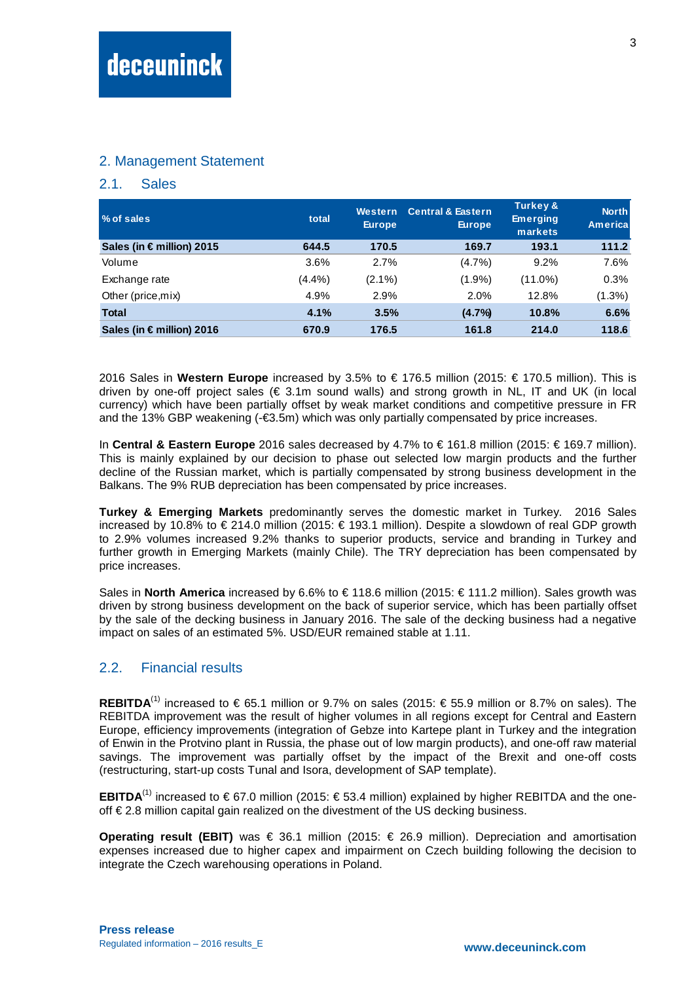#### 2. Management Statement

#### 2.1. Sales

| <b>1% of sales</b>        | total   | Western<br><b>Europe</b> | <b>Central &amp; Eastern</b><br><b>Europe</b> | Turkey &<br><b>Emerging</b><br>markets | <b>North</b><br><b>Americal</b> |
|---------------------------|---------|--------------------------|-----------------------------------------------|----------------------------------------|---------------------------------|
| Sales (in € million) 2015 | 644.5   | 170.5                    | 169.7                                         | 193.1                                  | 111.2                           |
| Volume                    | $3.6\%$ | 2.7%                     | $(4.7\%)$                                     | 9.2%                                   | 7.6%                            |
| Exchange rate             | (4.4%)  | $(2.1\%)$                | $(1.9\%)$                                     | $(11.0\%)$                             | 0.3%                            |
| Other (price, mix)        | 4.9%    | 2.9%                     | 2.0%                                          | 12.8%                                  | $(1.3\%)$                       |
| <b>Total</b>              | 4.1%    | 3.5%                     | (4.7%                                         | 10.8%                                  | 6.6%                            |
| Sales (in € million) 2016 | 670.9   | 176.5                    | 161.8                                         | 214.0                                  | 118.6                           |

2016 Sales in Western Europe increased by 3.5% to € 176.5 million (2015: € 1705 million). This is driven by one-off project sales ( $\epsilon$  3.1m sound walls) and strong growth in NL. IT and UK (in local currency) which have been partially offset by weak market conditions and competitive pressure in FR and the 13% GBP weakening (-€3.5m) which was only partially compensated by price increases.

In **Central & Eastern Europe** 2016 sales decreased by 4.7% to € 161.8 million (2015: € 169.7 million). This is mainly explained by our decision to phase out selected low margin products and the further decline of the Russian market, which is partially compensated by strong business development in the Balkans. The 9% RUB depreciation has been compensated by price increases.

**Turkey & Emerging Markets** predominantly serves the domestic market in Turkey. 2016 Sales increased by 10.8% to € 214.0 million (2015: € 193.1 million). Despite a slowdown of real GDP growth to 2.9% volumes increased 9.2% thanks to superior products, service and branding in Turkey and further growth in Emerging Markets (mainly Chile). The TRY depreciation has been compensated by price increases.

Sales in North America increased by 6.6% to € 118.6 million (2015: € 1112 million). Sales growth was driven by strong business development on the back of superior service, which has been partially offset by the sale of the decking business in January 2016. The sale of the decking business had a negative impact on sales of an estimated 5%. USD/EUR remained stable at 1.11.

### 2.2. Financial results

**REBITDA**<sup>(1)</sup> increased to € 65.1 million or 9.7% on sales (2015: € 55.9 million or 8.7% on sales). The REBITDA improvement was the result of higher volumes in all regions except for Central and Eastern Europe, efficiency improvements (integration of Gebze into Kartepe plant in Turkey and the integration of Enwin in the Protvino plant in Russia, the phase out of low margin products), and one-off raw material savings. The improvement was partially offset by the impact of the Brexit and one-off costs (restructuring, start-up costs Tunal and Isora, development of SAP template).

**EBITDA**<sup>(1)</sup> increased to € 67.0 million (2015: € 53.4 million) explained by higher REBITDA and the oneoff € 2.8 million capital gain realized on the divestment of the US decking business.

**Operating result (EBIT)** was € 36.1 million (2015:  $€$  26.9 million). Deprecation and amortisation expenses increased due to higher capex and impairment on Czech building following the decision to integrate the Czech warehousing operations in Poland.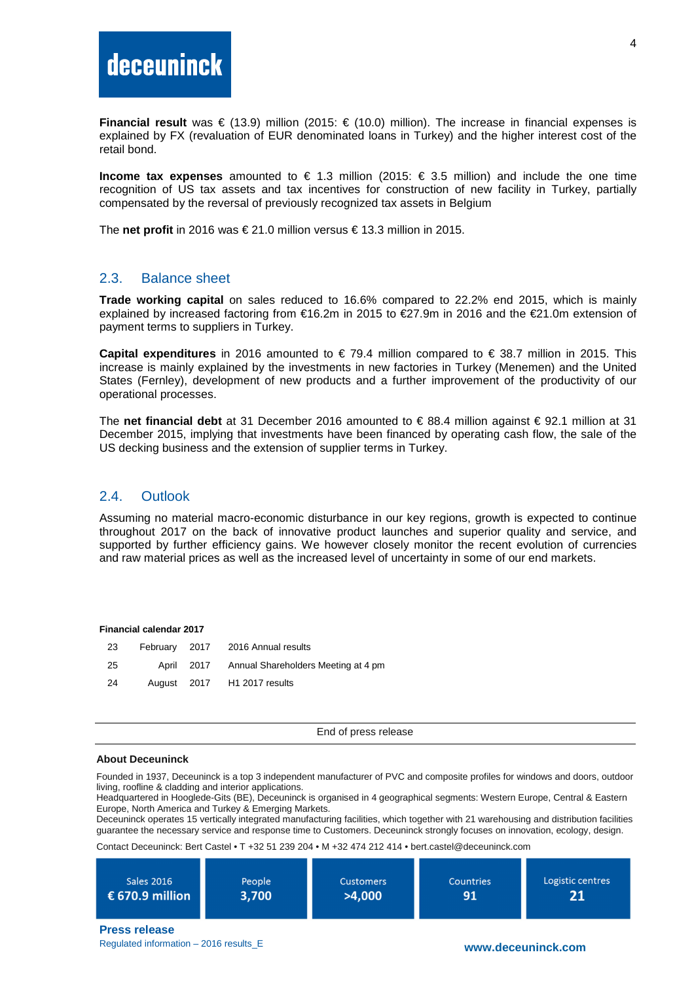**Financial result** was € (13.9) million (2015: € (10.0) million). The increase in financial expenses is explained by FX (revaluation of EUR denominated loans in Turkey) and the higher interest cost of the retail bond.

**Income tax expenses** amounted to € 1.3 million (2015:  $\epsilon$  3.5 million) and include the one time recognition of US tax assets and tax incentives for construction of new facility in Turkey, partially compensated by the reversal of previously recognized tax assets in Belgium

The **net profit** in 2016 was € 21.0 million versus € 13.3 million in 2015.

#### 2.3. Balance sheet

**Trade working capital** on sales reduced to 16.6% compared to 22.2% end 2015, which is mainly explained by increased factoring from €16.2m in 2015 to €27.9m in 2016 and the €21.0m extension of payment terms to suppliers in Turkey.

**Capital expenditures** in 2016 amounted to € 79.4 million compared to € 38.7 million in 2015. This increase is mainly explained by the investments in new factories in Turkey (Menemen) and the United States (Fernley), development of new products and a further improvement of the productivity of our operational processes.

The **net financial debt** at 31 December 2016 amounted to € 88.4 million against € 92.1 million at 31 December 2015, implying that investments have been financed by operating cash flow, the sale of the US decking business and the extension of supplier terms in Turkey.

### 2.4. Outlook

Assuming no material macro-economic disturbance in our key regions, growth is expected to continue throughout 2017 on the back of innovative product launches and superior quality and service, and supported by further efficiency gains. We however closely monitor the recent evolution of currencies and raw material prices as well as the increased level of uncertainty in some of our end markets.

#### **Financial calendar 2017**

| 23  |            | February 2017 2016 Annual results   |
|-----|------------|-------------------------------------|
| -25 | April 2017 | Annual Shareholders Meeting at 4 pm |
| -24 |            | August 2017 H1 2017 results         |

End of press release

#### **About Deceuninck**

Founded in 1937, Deceuninck is a top 3 independent manufacturer of PVC and composite profiles for windows and doors, outdoor living, roofline & cladding and interior applications.

Headquartered in Hooglede-Gits (BE), Deceuninck is organised in 4 geographical segments: Western Europe, Central & Eastern Europe, North America and Turkey & Emerging Markets.

Deceuninck operates 15 vertically integrated manufacturing facilities, which together with 21 warehousing and distribution facilities guarantee the necessary service and response time to Customers. Deceuninck strongly focuses on innovation, ecology, design.

Contact Deceuninck: Bert Castel • T +32 51 239 204 • M +32 474 212 414 • bert.castel@deceuninck.com

| Sales 2016      | People | <b>Customers</b> | <b>Countries</b> | Logistic centres |
|-----------------|--------|------------------|------------------|------------------|
| € 670.9 million | 3,700  | >4,000           | 91               | 21               |

**Press release**

Regulated information – 2016 results\_E **www.deceuninck.com**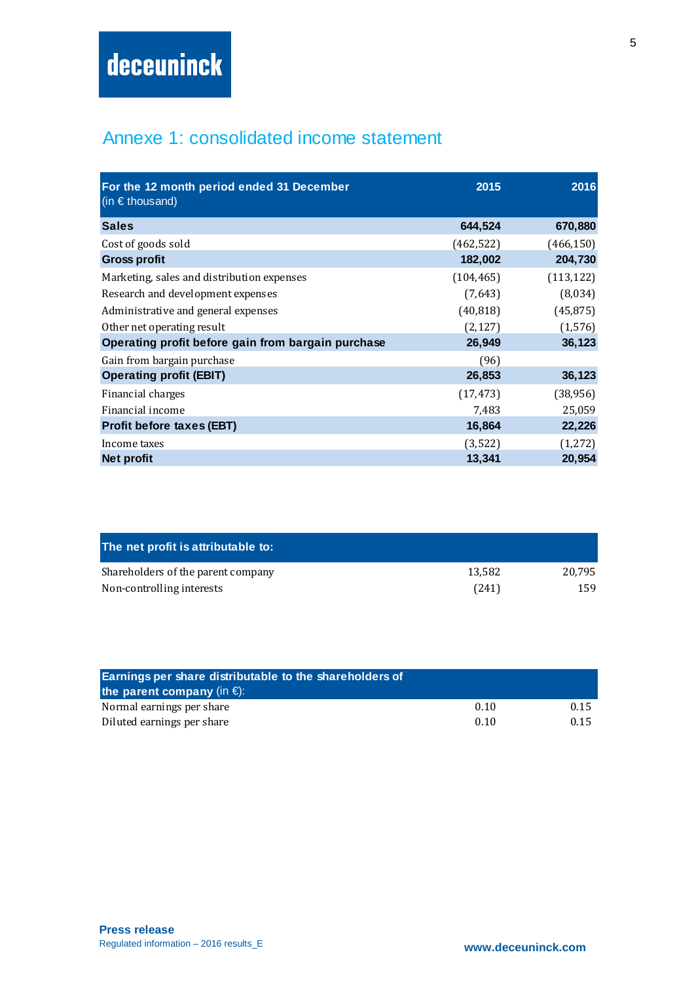# Annexe 1: consolidated income statement

| For the 12 month period ended 31 December<br>(in $\epsilon$ thousand) | 2015       | 2016       |
|-----------------------------------------------------------------------|------------|------------|
| <b>Sales</b>                                                          | 644,524    | 670,880    |
| Cost of goods sold                                                    | (462, 522) | (466, 150) |
| <b>Gross profit</b>                                                   | 182,002    | 204,730    |
| Marketing, sales and distribution expenses                            | (104, 465) | (113, 122) |
| Research and development expenses                                     | (7,643)    | (8,034)    |
| Administrative and general expenses                                   | (40, 818)  | (45, 875)  |
| Other net operating result                                            | (2, 127)   | (1, 576)   |
| Operating profit before gain from bargain purchase                    | 26,949     | 36,123     |
| Gain from bargain purchase                                            | (96)       |            |
| <b>Operating profit (EBIT)</b>                                        | 26,853     | 36,123     |
| Financial charges                                                     | (17, 473)  | (38, 956)  |
| Financial income                                                      | 7,483      | 25,059     |
| <b>Profit before taxes (EBT)</b>                                      | 16,864     | 22,226     |
| Income taxes                                                          | (3, 522)   | (1, 272)   |
| Net profit                                                            | 13,341     | 20,954     |

| The net profit is attributable to: |        |        |
|------------------------------------|--------|--------|
| Shareholders of the parent company | 13.582 | 20.795 |
| Non-controlling interests          | (241)  | 159    |

| Earnings per share distributable to the shareholders of<br>the parent company (in $\epsilon$ ): |      |      |  |  |
|-------------------------------------------------------------------------------------------------|------|------|--|--|
| Normal earnings per share                                                                       | 0.10 | 0.15 |  |  |
| Diluted earnings per share                                                                      | 0.10 | 0.15 |  |  |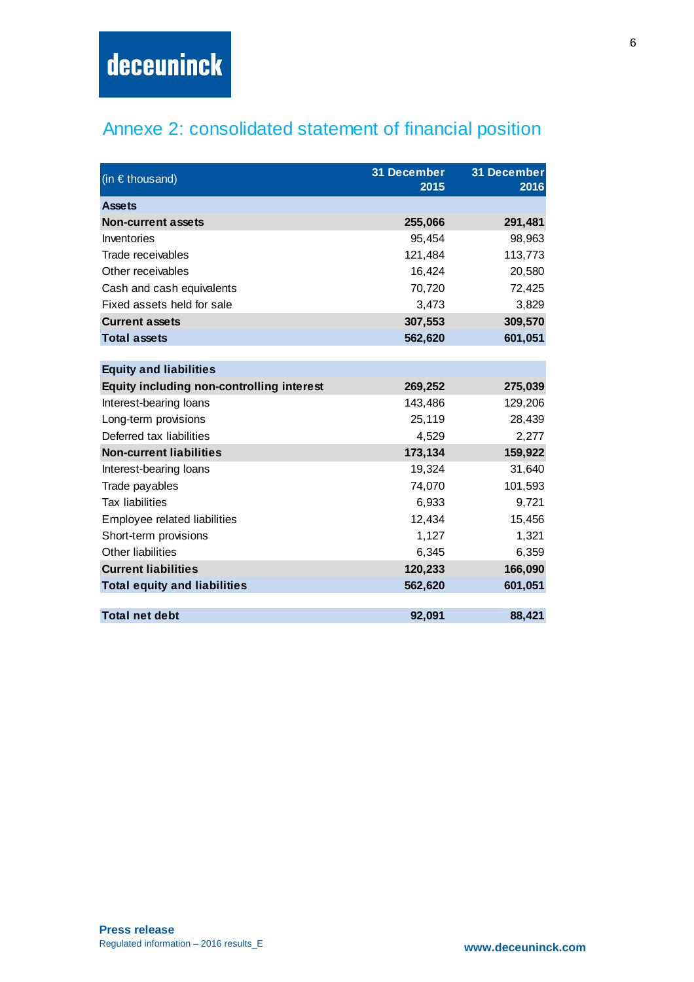# Annexe 2: consolidated statement of financial position

| (in $\epsilon$ thousand)                  | 31 December<br>2015 | 31 December<br>2016 |
|-------------------------------------------|---------------------|---------------------|
| <b>Assets</b>                             |                     |                     |
| <b>Non-current assets</b>                 | 255,066             | 291,481             |
| Inventories                               | 95,454              | 98,963              |
| Trade receivables                         | 121,484             | 113,773             |
| Other receivables                         | 16,424              | 20,580              |
| Cash and cash equivalents                 | 70,720              | 72,425              |
| Fixed assets held for sale                | 3,473               | 3,829               |
| <b>Current assets</b>                     | 307,553             | 309,570             |
| <b>Total assets</b>                       | 562,620             | 601,051             |
|                                           |                     |                     |
| <b>Equity and liabilities</b>             |                     |                     |
| Equity including non-controlling interest | 269,252             | 275,039             |
| Interest-bearing loans                    | 143,486             | 129,206             |
| Long-term provisions                      | 25,119              | 28,439              |
| Deferred tax liabilities                  | 4,529               | 2,277               |
| <b>Non-current liabilities</b>            | 173,134             | 159,922             |
| Interest-bearing loans                    | 19,324              | 31,640              |
| Trade payables                            | 74,070              | 101,593             |
| <b>Tax liabilities</b>                    | 6,933               | 9,721               |
| Employee related liabilities              | 12,434              | 15,456              |
| Short-term provisions                     | 1,127               | 1,321               |
| Other liabilities                         | 6,345               | 6,359               |
| <b>Current liabilities</b>                | 120,233             | 166,090             |
| <b>Total equity and liabilities</b>       | 562,620             | 601,051             |
|                                           |                     |                     |
| <b>Total net debt</b>                     | 92,091              | 88,421              |